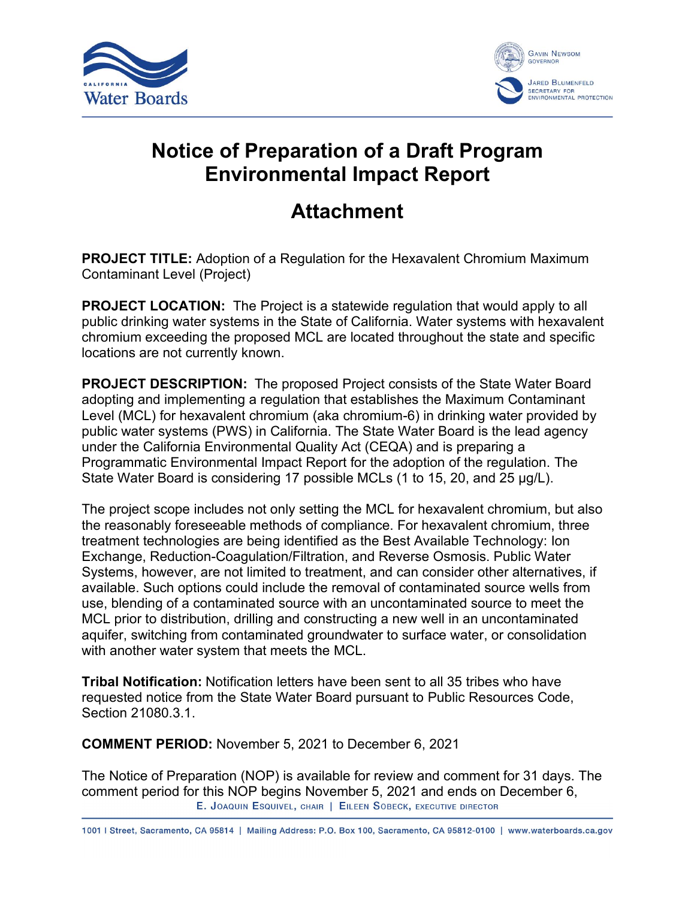



## **Notice of Preparation of a Draft Program Environmental Impact Report**

## **Attachment**

**PROJECT TITLE:** Adoption of a Regulation for the Hexavalent Chromium Maximum Contaminant Level (Project)

**PROJECT LOCATION:** The Project is a statewide regulation that would apply to all public drinking water systems in the State of California. Water systems with hexavalent chromium exceeding the proposed MCL are located throughout the state and specific locations are not currently known.

**PROJECT DESCRIPTION:** The proposed Project consists of the State Water Board adopting and implementing a regulation that establishes the Maximum Contaminant Level (MCL) for hexavalent chromium (aka chromium-6) in drinking water provided by public water systems (PWS) in California. The State Water Board is the lead agency under the California Environmental Quality Act (CEQA) and is preparing a Programmatic Environmental Impact Report for the adoption of the regulation. The State Water Board is considering 17 possible MCLs (1 to 15, 20, and 25 μg/L).

The project scope includes not only setting the MCL for hexavalent chromium, but also the reasonably foreseeable methods of compliance. For hexavalent chromium, three treatment technologies are being identified as the Best Available Technology: Ion Exchange, Reduction-Coagulation/Filtration, and Reverse Osmosis. Public Water Systems, however, are not limited to treatment, and can consider other alternatives, if available. Such options could include the removal of contaminated source wells from use, blending of a contaminated source with an uncontaminated source to meet the MCL prior to distribution, drilling and constructing a new well in an uncontaminated aquifer, switching from contaminated groundwater to surface water, or consolidation with another water system that meets the MCL.

**Tribal Notification:** Notification letters have been sent to all 35 tribes who have requested notice from the State Water Board pursuant to Public Resources Code, Section 21080.3.1.

**COMMENT PERIOD:** November 5, 2021 to December 6, 2021

The Notice of Preparation (NOP) is available for review and comment for 31 days. The comment period for this NOP begins November 5, 2021 and ends on December 6,  $E$ , JOAQUIN ESQUIVEL, CHAIR | EILEEN SOBECK, EXECUTIVE DIRECTOR

1001 | Street, Sacramento, CA 95814 | Mailing Address: P.O. Box 100, Sacramento, CA 95812-0100 | www.waterboards.ca.gov